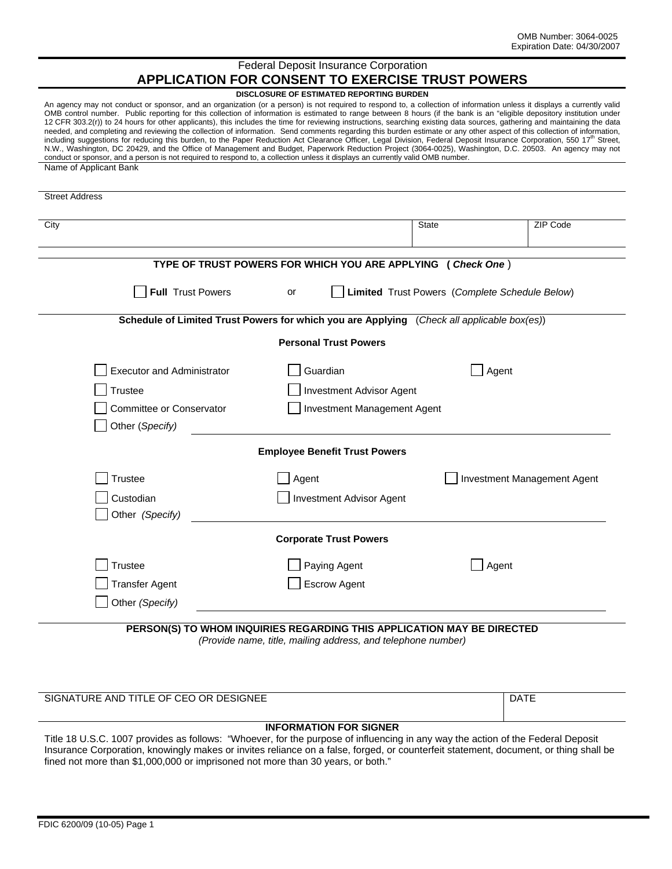# Federal Deposit Insurance Corporation **APPLICATION FOR CONSENT TO EXERCISE TRUST POWERS**

#### **DISCLOSURE OF ESTIMATED REPORTING BURDEN**

An agency may not conduct or sponsor, and an organization (or a person) is not required to respond to, a collection of information unless it displays a currently valid OMB control number. Public reporting for this collection of information is estimated to range between 8 hours (if the bank is an "eligible depository institution under 12 CFR 303.2(r)) to 24 hours for other applicants), this includes the time for reviewing instructions, searching existing data sources, gathering and maintaining the data needed, and completing and reviewing the collection of information. Send comments regarding this burden estimate or any other aspect of this collection of information, including suggestions for reducing this burden, to the Paper Reduction Act Clearance Officer, Legal Division, Federal Deposit Insurance Corporation, 550 17<sup>th</sup> Street, N.W., Washington, DC 20429, and the Office of Management and Budget, Paperwork Reduction Project (3064-0025), Washington, D.C. 20503. An agency may not conduct or sponsor, and a person is not required to respond to, a collection unless it displays an currently valid OMB number. Name of Applicant Bank

|                                   |                                                                                            | <b>State</b> | ZIP Code                                       |  |
|-----------------------------------|--------------------------------------------------------------------------------------------|--------------|------------------------------------------------|--|
|                                   | TYPE OF TRUST POWERS FOR WHICH YOU ARE APPLYING (Check One)                                |              |                                                |  |
| <b>Full Trust Powers</b>          | or                                                                                         |              | Limited Trust Powers (Complete Schedule Below) |  |
|                                   | Schedule of Limited Trust Powers for which you are Applying (Check all applicable box(es)) |              |                                                |  |
|                                   | <b>Personal Trust Powers</b>                                                               |              |                                                |  |
| <b>Executor and Administrator</b> | Guardian                                                                                   |              | Agent                                          |  |
| <b>Trustee</b>                    | <b>Investment Advisor Agent</b>                                                            |              |                                                |  |
| Committee or Conservator          | Investment Management Agent                                                                |              |                                                |  |
| Other (Specify)                   |                                                                                            |              |                                                |  |
|                                   | <b>Employee Benefit Trust Powers</b>                                                       |              |                                                |  |
| Trustee                           | Agent                                                                                      |              | Investment Management Agent                    |  |
| Custodian                         | <b>Investment Advisor Agent</b>                                                            |              |                                                |  |
| Other (Specify)                   |                                                                                            |              |                                                |  |
|                                   | <b>Corporate Trust Powers</b>                                                              |              |                                                |  |
| <b>Trustee</b>                    | Paying Agent                                                                               |              | Agent                                          |  |
| <b>Transfer Agent</b>             | <b>Escrow Agent</b>                                                                        |              |                                                |  |
| Other (Specify)                   |                                                                                            |              |                                                |  |

| SIGNATURE AND TITLE OF CEO OR DESIGNEE | DATE |
|----------------------------------------|------|
|----------------------------------------|------|

# **INFORMATION FOR SIGNER**

Title 18 U.S.C. 1007 provides as follows: "Whoever, for the purpose of influencing in any way the action of the Federal Deposit Insurance Corporation, knowingly makes or invites reliance on a false, forged, or counterfeit statement, document, or thing shall be fined not more than \$1,000,000 or imprisoned not more than 30 years, or both."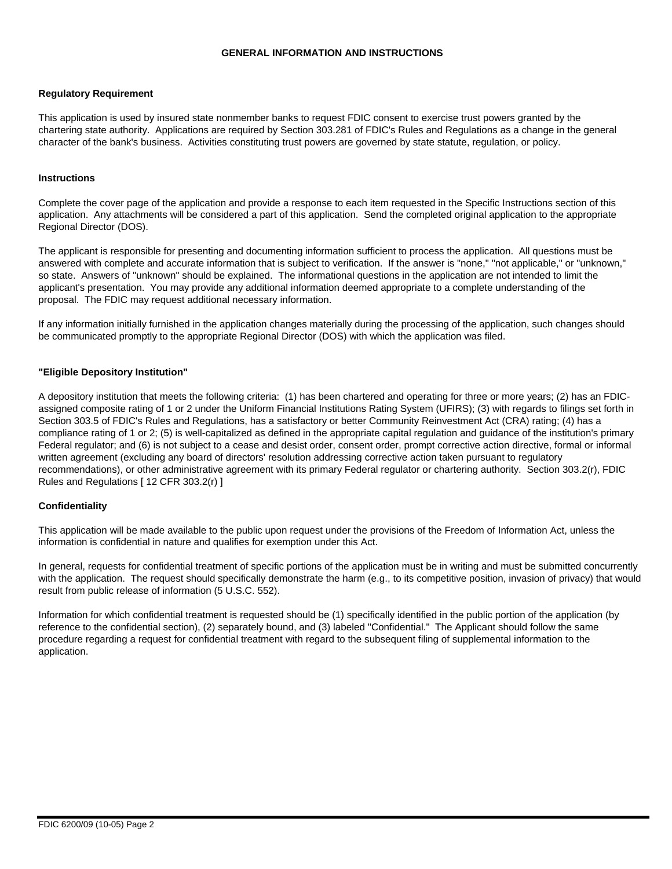# **GENERAL INFORMATION AND INSTRUCTIONS**

## **Regulatory Requirement**

This application is used by insured state nonmember banks to request FDIC consent to exercise trust powers granted by the chartering state authority. Applications are required by Section 303.281 of FDIC's Rules and Regulations as a change in the general character of the bank's business. Activities constituting trust powers are governed by state statute, regulation, or policy.

### **Instructions**

Complete the cover page of the application and provide a response to each item requested in the Specific Instructions section of this application. Any attachments will be considered a part of this application. Send the completed original application to the appropriate Regional Director (DOS).

The applicant is responsible for presenting and documenting information sufficient to process the application. All questions must be answered with complete and accurate information that is subject to verification. If the answer is "none," "not applicable," or "unknown," so state. Answers of "unknown" should be explained. The informational questions in the application are not intended to limit the applicant's presentation. You may provide any additional information deemed appropriate to a complete understanding of the proposal. The FDIC may request additional necessary information.

If any information initially furnished in the application changes materially during the processing of the application, such changes should be communicated promptly to the appropriate Regional Director (DOS) with which the application was filed.

#### **"Eligible Depository Institution"**

A depository institution that meets the following criteria: (1) has been chartered and operating for three or more years; (2) has an FDICassigned composite rating of 1 or 2 under the Uniform Financial Institutions Rating System (UFIRS); (3) with regards to filings set forth in Section 303.5 of FDIC's Rules and Regulations, has a satisfactory or better Community Reinvestment Act (CRA) rating; (4) has a compliance rating of 1 or 2; (5) is well-capitalized as defined in the appropriate capital regulation and guidance of the institution's primary Federal regulator; and (6) is not subject to a cease and desist order, consent order, prompt corrective action directive, formal or informal written agreement (excluding any board of directors' resolution addressing corrective action taken pursuant to regulatory recommendations), or other administrative agreement with its primary Federal regulator or chartering authority. Section 303.2(r), FDIC Rules and Regulations [ 12 CFR 303.2(r) ]

## **Confidentiality**

This application will be made available to the public upon request under the provisions of the Freedom of Information Act, unless the information is confidential in nature and qualifies for exemption under this Act.

In general, requests for confidential treatment of specific portions of the application must be in writing and must be submitted concurrently with the application. The request should specifically demonstrate the harm (e.g., to its competitive position, invasion of privacy) that would result from public release of information (5 U.S.C. 552).

Information for which confidential treatment is requested should be (1) specifically identified in the public portion of the application (by reference to the confidential section), (2) separately bound, and (3) labeled "Confidential." The Applicant should follow the same procedure regarding a request for confidential treatment with regard to the subsequent filing of supplemental information to the application.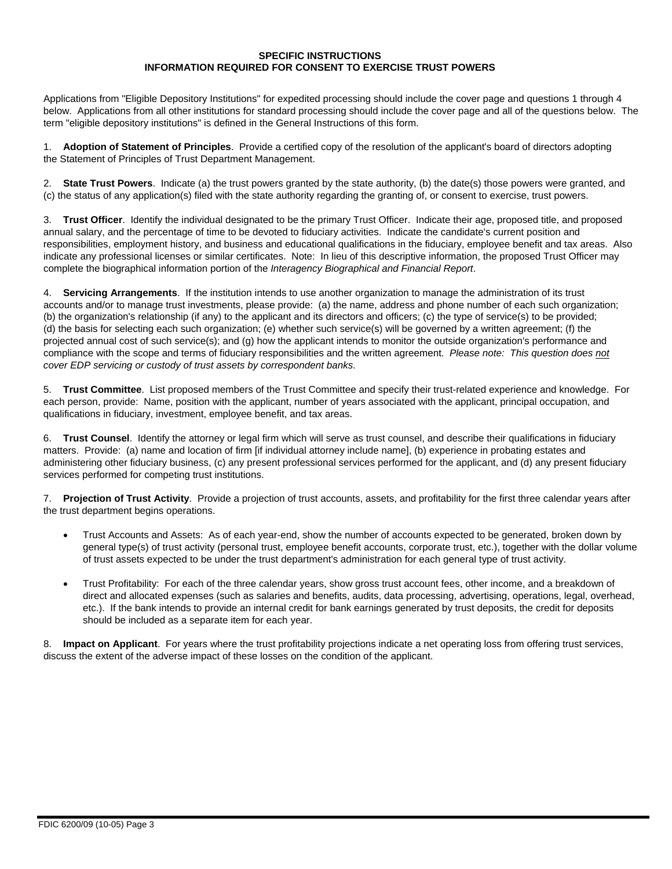## **SPECIFIC INSTRUCTIONS INFORMATION REQUIRED FOR CONSENT TO EXERCISE TRUST POWERS**

Applications from "Eligible Depository Institutions" for expedited processing should include the cover page and questions 1 through 4 below. Applications from all other institutions for standard processing should include the cover page and all of the questions below. The term "eligible depository institutions" is defined in the General Instructions of this form.

1. **Adoption of Statement of Principles**. Provide a certified copy of the resolution of the applicant's board of directors adopting the Statement of Principles of Trust Department Management.

2. **State Trust Powers**. Indicate (a) the trust powers granted by the state authority, (b) the date(s) those powers were granted, and (c) the status of any application(s) filed with the state authority regarding the granting of, or consent to exercise, trust powers.

3. **Trust Officer**. Identify the individual designated to be the primary Trust Officer. Indicate their age, proposed title, and proposed annual salary, and the percentage of time to be devoted to fiduciary activities. Indicate the candidate's current position and responsibilities, employment history, and business and educational qualifications in the fiduciary, employee benefit and tax areas. Also indicate any professional licenses or similar certificates. Note: In lieu of this descriptive information, the proposed Trust Officer may complete the biographical information portion of the *Interagency Biographical and Financial Report*.

4. **Servicing Arrangements**. If the institution intends to use another organization to manage the administration of its trust accounts and/or to manage trust investments, please provide: (a) the name, address and phone number of each such organization; (b) the organization's relationship (if any) to the applicant and its directors and officers; (c) the type of service(s) to be provided; (d) the basis for selecting each such organization; (e) whether such service(s) will be governed by a written agreement; (f) the projected annual cost of such service(s); and (g) how the applicant intends to monitor the outside organization's performance and compliance with the scope and terms of fiduciary responsibilities and the written agreement. *Please note: This question does not cover EDP servicing or custody of trust assets by correspondent banks*.

5. **Trust Committee**. List proposed members of the Trust Committee and specify their trust-related experience and knowledge. For each person, provide: Name, position with the applicant, number of years associated with the applicant, principal occupation, and qualifications in fiduciary, investment, employee benefit, and tax areas.

6. **Trust Counsel**. Identify the attorney or legal firm which will serve as trust counsel, and describe their qualifications in fiduciary matters. Provide: (a) name and location of firm [if individual attorney include name], (b) experience in probating estates and administering other fiduciary business, (c) any present professional services performed for the applicant, and (d) any present fiduciary services performed for competing trust institutions.

7. **Projection of Trust Activity**. Provide a projection of trust accounts, assets, and profitability for the first three calendar years after the trust department begins operations.

- Trust Accounts and Assets: As of each year-end, show the number of accounts expected to be generated, broken down by general type(s) of trust activity (personal trust, employee benefit accounts, corporate trust, etc.), together with the dollar volume of trust assets expected to be under the trust department's administration for each general type of trust activity.
- Trust Profitability: For each of the three calendar years, show gross trust account fees, other income, and a breakdown of direct and allocated expenses (such as salaries and benefits, audits, data processing, advertising, operations, legal, overhead, etc.). If the bank intends to provide an internal credit for bank earnings generated by trust deposits, the credit for deposits should be included as a separate item for each year.

8. **Impact on Applicant**. For years where the trust profitability projections indicate a net operating loss from offering trust services, discuss the extent of the adverse impact of these losses on the condition of the applicant.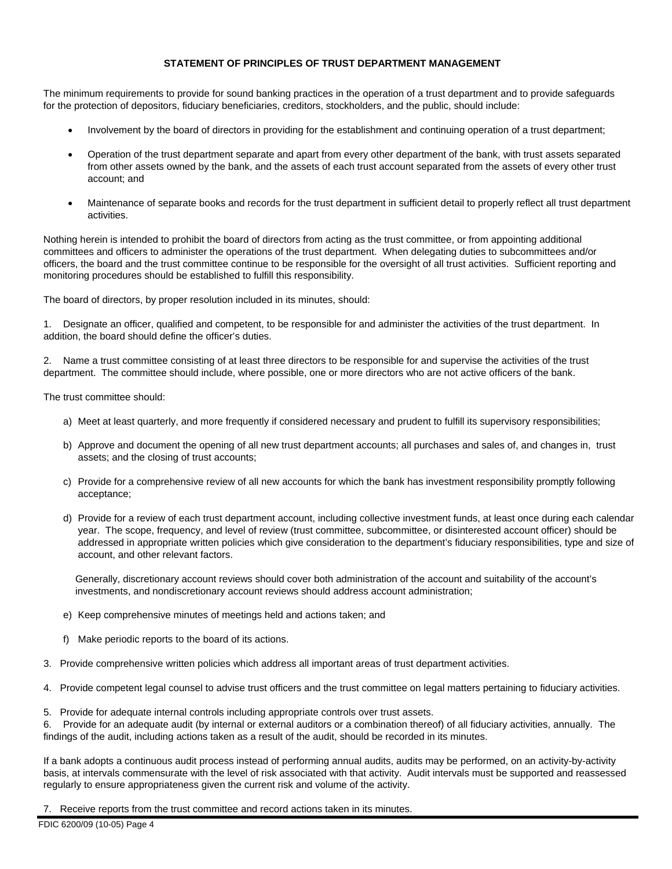# **STATEMENT OF PRINCIPLES OF TRUST DEPARTMENT MANAGEMENT**

The minimum requirements to provide for sound banking practices in the operation of a trust department and to provide safeguards for the protection of depositors, fiduciary beneficiaries, creditors, stockholders, and the public, should include:

- Involvement by the board of directors in providing for the establishment and continuing operation of a trust department;
- Operation of the trust department separate and apart from every other department of the bank, with trust assets separated from other assets owned by the bank, and the assets of each trust account separated from the assets of every other trust account; and
- Maintenance of separate books and records for the trust department in sufficient detail to properly reflect all trust department activities.

Nothing herein is intended to prohibit the board of directors from acting as the trust committee, or from appointing additional committees and officers to administer the operations of the trust department. When delegating duties to subcommittees and/or officers, the board and the trust committee continue to be responsible for the oversight of all trust activities. Sufficient reporting and monitoring procedures should be established to fulfill this responsibility.

The board of directors, by proper resolution included in its minutes, should:

1. Designate an officer, qualified and competent, to be responsible for and administer the activities of the trust department. In addition, the board should define the officer's duties.

2. Name a trust committee consisting of at least three directors to be responsible for and supervise the activities of the trust department. The committee should include, where possible, one or more directors who are not active officers of the bank.

The trust committee should:

- a) Meet at least quarterly, and more frequently if considered necessary and prudent to fulfill its supervisory responsibilities;
- b) Approve and document the opening of all new trust department accounts; all purchases and sales of, and changes in, trust assets; and the closing of trust accounts;
- c) Provide for a comprehensive review of all new accounts for which the bank has investment responsibility promptly following acceptance;
- d) Provide for a review of each trust department account, including collective investment funds, at least once during each calendar year. The scope, frequency, and level of review (trust committee, subcommittee, or disinterested account officer) should be addressed in appropriate written policies which give consideration to the department's fiduciary responsibilities, type and size of account, and other relevant factors.

Generally, discretionary account reviews should cover both administration of the account and suitability of the account's investments, and nondiscretionary account reviews should address account administration;

- e) Keep comprehensive minutes of meetings held and actions taken; and
- f) Make periodic reports to the board of its actions.
- 3. Provide comprehensive written policies which address all important areas of trust department activities.
- 4. Provide competent legal counsel to advise trust officers and the trust committee on legal matters pertaining to fiduciary activities.
- 5. Provide for adequate internal controls including appropriate controls over trust assets.

6. Provide for an adequate audit (by internal or external auditors or a combination thereof) of all fiduciary activities, annually. The findings of the audit, including actions taken as a result of the audit, should be recorded in its minutes.

If a bank adopts a continuous audit process instead of performing annual audits, audits may be performed, on an activity-by-activity basis, at intervals commensurate with the level of risk associated with that activity. Audit intervals must be supported and reassessed regularly to ensure appropriateness given the current risk and volume of the activity.

7. Receive reports from the trust committee and record actions taken in its minutes.